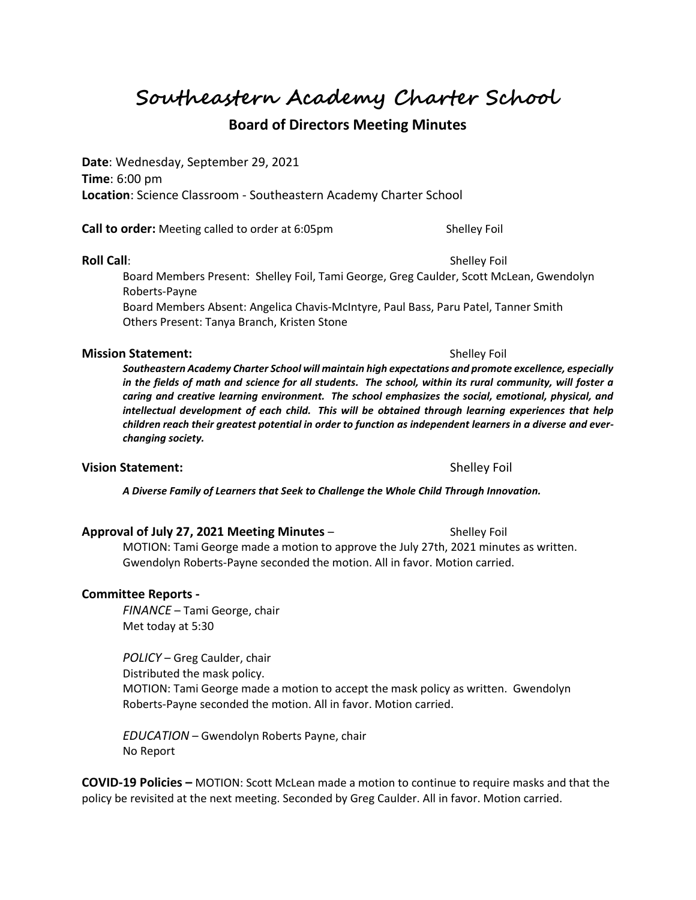# **Southeastern Academy Charter School**

# **Board of Directors Meeting Minutes**

**Date**: Wednesday, September 29, 2021 **Time**: 6:00 pm **Location**: Science Classroom - Southeastern Academy Charter School

**Call to order:** Meeting called to order at 6:05pm Shelley Foil

### **Roll Call**: Shelley Foil **Roll Call**: Shelley Foil **Shelley Foil**

Board Members Present: Shelley Foil, Tami George, Greg Caulder, Scott McLean, Gwendolyn Roberts-Payne

Board Members Absent: Angelica Chavis-McIntyre, Paul Bass, Paru Patel, Tanner Smith Others Present: Tanya Branch, Kristen Stone

### **Mission Statement:**  $\qquad \qquad$  Shelley Foil

*Southeastern Academy Charter School will maintain high expectations and promote excellence, especially in the fields of math and science for all students. The school, within its rural community, will foster a caring and creative learning environment. The school emphasizes the social, emotional, physical, and intellectual development of each child. This will be obtained through learning experiences that help children reach their greatest potential in order to function as independent learners in a diverse and everchanging society.*

### **Vision Statement:**  $\qquad \qquad$  Shelley Foil

*A Diverse Family of Learners that Seek to Challenge the Whole Child Through Innovation.*

#### **Approval of July 27, 2021 Meeting Minutes** – Shelley Foil

MOTION: Tami George made a motion to approve the July 27th, 2021 minutes as written. Gwendolyn Roberts-Payne seconded the motion. All in favor. Motion carried.

### **Committee Reports -**

*FINANCE* – Tami George, chair Met today at 5:30

*POLICY* – Greg Caulder, chair Distributed the mask policy. MOTION: Tami George made a motion to accept the mask policy as written. Gwendolyn Roberts-Payne seconded the motion. All in favor. Motion carried.

*EDUCATION* – Gwendolyn Roberts Payne, chair No Report

**COVID-19 Policies –** MOTION: Scott McLean made a motion to continue to require masks and that the policy be revisited at the next meeting. Seconded by Greg Caulder. All in favor. Motion carried.